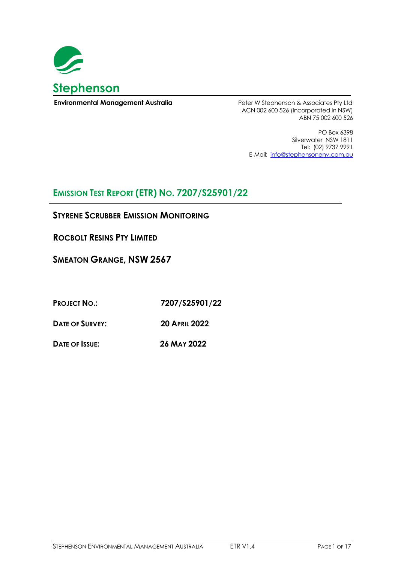

**Environmental Management Australia Environmental Management Australia** Peter W Stephenson & Associates Pty Ltd

ACN 002 600 526 (Incorporated in NSW) ABN 75 002 600 526

PO Box 6398 Silverwater NSW 1811 Tel: (02) 9737 9991 E-Mail: [info@stephensonenv.com.au](mailto:info@stephensonenv.com.au)

# **EMISSION TEST REPORT (ETR) NO. 7207/S25901/22**

## **STYRENE SCRUBBER EMISSION MONITORING**

**ROCBOLT RESINS PTY LIMITED**

**SMEATON GRANGE, NSW 2567**

**PROJECT NO.: 7207/S25901/22**

**DATE OF SURVEY: 20 APRIL 2022**

**DATE OF ISSUE: 26 MAY 2022**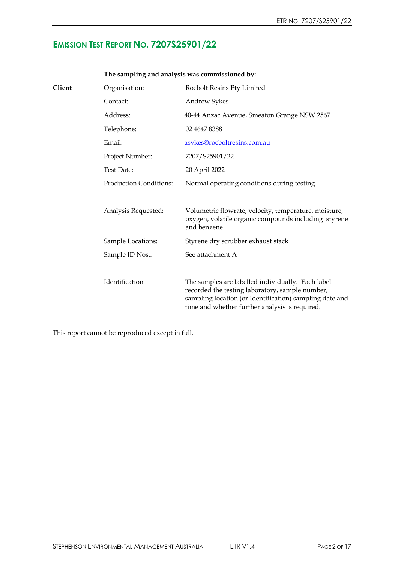# **EMISSION TEST REPORT NO. 7207S25901/22**

| Client | Organisation:                 | Rocbolt Resins Pty Limited                                                                                                                                                                                        |
|--------|-------------------------------|-------------------------------------------------------------------------------------------------------------------------------------------------------------------------------------------------------------------|
|        | Contact:                      | <b>Andrew Sykes</b>                                                                                                                                                                                               |
|        | Address:                      | 40-44 Anzac Avenue, Smeaton Grange NSW 2567                                                                                                                                                                       |
|        | Telephone:                    | 02 4647 8388                                                                                                                                                                                                      |
|        | Email:                        | asykes@rocboltresins.com.au                                                                                                                                                                                       |
|        | Project Number:               | 7207/S25901/22                                                                                                                                                                                                    |
|        | Test Date:                    | 20 April 2022                                                                                                                                                                                                     |
|        | <b>Production Conditions:</b> | Normal operating conditions during testing                                                                                                                                                                        |
|        | Analysis Requested:           | Volumetric flowrate, velocity, temperature, moisture,<br>oxygen, volatile organic compounds including styrene<br>and benzene                                                                                      |
|        | Sample Locations:             | Styrene dry scrubber exhaust stack                                                                                                                                                                                |
|        | Sample ID Nos.:               | See attachment A                                                                                                                                                                                                  |
|        | Identification                | The samples are labelled individually. Each label<br>recorded the testing laboratory, sample number,<br>sampling location (or Identification) sampling date and<br>time and whether further analysis is required. |

## **The sampling and analysis was commissioned by:**

This report cannot be reproduced except in full.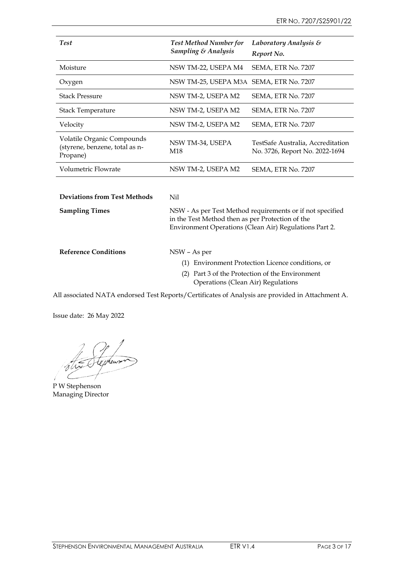| <b>Test</b>                                                              | <b>Test Method Number for</b><br><b>Sampling &amp; Analysis</b> | Laboratory Analysis &<br>Report No.                                 |
|--------------------------------------------------------------------------|-----------------------------------------------------------------|---------------------------------------------------------------------|
| Moisture                                                                 | NSW TM-22, USEPA M4                                             | SEMA, ETR No. 7207                                                  |
| Oxygen                                                                   | NSW TM-25, USEPA M3A SEMA, ETR No. 7207                         |                                                                     |
| <b>Stack Pressure</b>                                                    | NSW TM-2, USEPA M2                                              | SEMA, ETR No. 7207                                                  |
| <b>Stack Temperature</b>                                                 | NSW TM-2, USEPA M2                                              | SEMA, ETR No. 7207                                                  |
| Velocity                                                                 | NSW TM-2, USEPA M2                                              | SEMA, ETR No. 7207                                                  |
| Volatile Organic Compounds<br>(styrene, benzene, total as n-<br>Propane) | NSW TM-34, USEPA<br>M <sub>18</sub>                             | TestSafe Australia, Accreditation<br>No. 3726, Report No. 2022-1694 |
| Volumetric Flowrate                                                      | NSW TM-2, USEPA M2                                              | SEMA, ETR No. 7207                                                  |
|                                                                          |                                                                 |                                                                     |
| <b>Deviations from Test Methods</b>                                      | Nil                                                             |                                                                     |
| <b>Sampling Times</b>                                                    | in the Test Method then as per Protection of the                | NSW - As per Test Method requirements or if not specified           |

| <b>Reference Conditions</b> | NSW – As per                                      |
|-----------------------------|---------------------------------------------------|
|                             | (1) Environment Protection Licence conditions, or |
|                             | (2) Part 3 of the Protection of the Environment   |
|                             | Operations (Clean Air) Regulations                |

Environment Operations (Clean Air) Regulations Part 2.

All associated NATA endorsed Test Reports/Certificates of Analysis are provided in Attachment A.

Issue date: 26 May 2022

tepheur

P W Stephenson Managing Director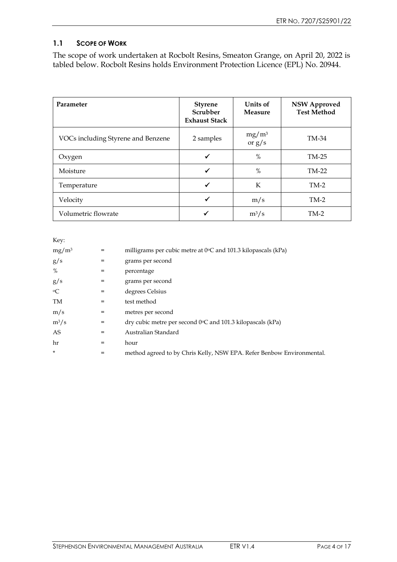## **1.1 SCOPE OF WORK**

The scope of work undertaken at Rocbolt Resins, Smeaton Grange, on April 20, 2022 is tabled below. Rocbolt Resins holds Environment Protection Licence (EPL) No. 20944.

| Parameter                          | <b>Styrene</b><br>Scrubber<br><b>Exhaust Stack</b> | Units of<br><b>Measure</b> | <b>NSW Approved</b><br><b>Test Method</b> |
|------------------------------------|----------------------------------------------------|----------------------------|-------------------------------------------|
| VOCs including Styrene and Benzene | 2 samples                                          | $mg/m^3$<br>or $g/s$       | TM-34                                     |
| Oxygen                             | √                                                  | $\%$                       | TM-25                                     |
| Moisture                           | ✔                                                  | $\%$                       | TM-22                                     |
| Temperature                        | ✓                                                  | K                          | $TM-2$                                    |
| Velocity                           | ✔                                                  | m/s                        | $TM-2$                                    |
| Volumetric flowrate                |                                                    | $m^3/s$                    | $TM-2$                                    |

| Key:      |     |                                                                       |
|-----------|-----|-----------------------------------------------------------------------|
| $mg/m^3$  | $=$ | milligrams per cubic metre at 0°C and 101.3 kilopascals (kPa)         |
| g/s       | =   | grams per second                                                      |
| %         | $=$ | percentage                                                            |
| g/s       | $=$ | grams per second                                                      |
| $\circ$ C | $=$ | degrees Celsius                                                       |
| TM        | $=$ | test method                                                           |
| m/s       | $=$ | metres per second                                                     |
| $m^3/s$   | $=$ | dry cubic metre per second $0^{\circ}$ C and 101.3 kilopascals (kPa)  |
| AS        | $=$ | Australian Standard                                                   |
| hr        | $=$ | hour                                                                  |
| $\star$   | $=$ | method agreed to by Chris Kelly, NSW EPA. Refer Benbow Environmental. |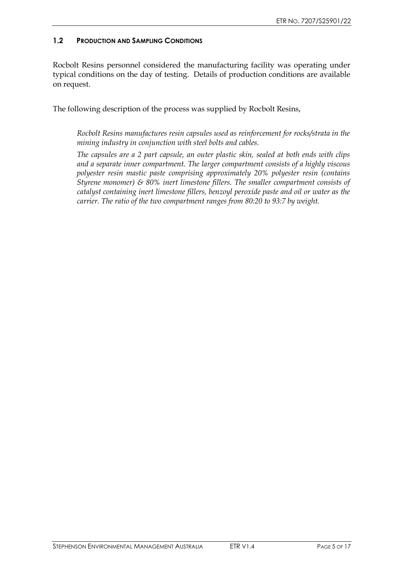### **1.2 PRODUCTION AND SAMPLING CONDITIONS**

Rocbolt Resins personnel considered the manufacturing facility was operating under typical conditions on the day of testing. Details of production conditions are available on request.

The following description of the process was supplied by Rocbolt Resins,

*Rocbolt Resins manufactures resin capsules used as reinforcement for rocks/strata in the mining industry in conjunction with steel bolts and cables.*

*The capsules are a 2 part capsule, an outer plastic skin, sealed at both ends with clips and a separate inner compartment. The larger compartment consists of a highly viscous polyester resin mastic paste comprising approximately 20% polyester resin (contains Styrene monomer) & 80% inert limestone fillers. The smaller compartment consists of catalyst containing inert limestone fillers, benzoyl peroxide paste and oil or water as the carrier. The ratio of the two compartment ranges from 80:20 to 93:7 by weight.*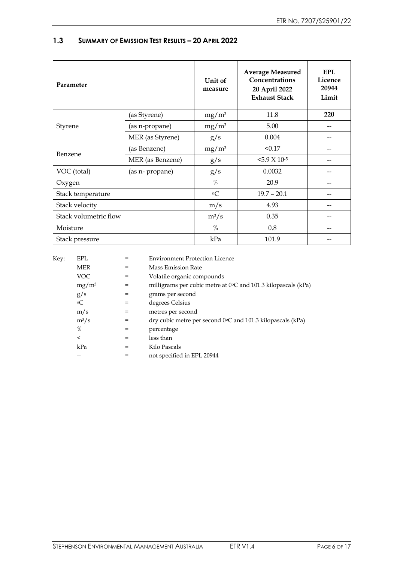| Parameter             |                  | Unit of<br>measure | <b>Average Measured</b><br>Concentrations<br>20 April 2022<br><b>Exhaust Stack</b> | EPL<br>Licence<br>20944<br>Limit |
|-----------------------|------------------|--------------------|------------------------------------------------------------------------------------|----------------------------------|
|                       | (as Styrene)     | $mg/m^3$           | 11.8                                                                               | 220                              |
| Styrene               | (as n-propane)   | $mg/m^3$           | 5.00                                                                               |                                  |
|                       | MER (as Styrene) | g/s                | 0.004                                                                              |                                  |
| Benzene               | (as Benzene)     | $mg/m^3$           | < 0.17                                                                             |                                  |
|                       | MER (as Benzene) | g/s                | $5.9 \times 10^{-5}$                                                               |                                  |
| VOC (total)           | (as n- propane)  | g/s                | 0.0032                                                                             |                                  |
| Oxygen                |                  | $\%$               | 20.9                                                                               |                                  |
| Stack temperature     |                  | $\rm ^{o}C$        | $19.7 - 20.1$                                                                      |                                  |
| Stack velocity        |                  | m/s                | 4.93                                                                               |                                  |
| Stack volumetric flow |                  | $m^3/s$            | 0.35                                                                               |                                  |
| Moisture              |                  | $\%$               | 0.8                                                                                |                                  |
| Stack pressure        |                  | kPa                | 101.9                                                                              |                                  |

## **1.3 SUMMARY OF EMISSION TEST RESULTS – 20 APRIL 2022**

| Key: | EPL         |     | <b>Environment Protection Licence</b>                                |
|------|-------------|-----|----------------------------------------------------------------------|
|      | <b>MER</b>  | $=$ | <b>Mass Emission Rate</b>                                            |
|      | VOC         | $=$ | Volatile organic compounds                                           |
|      | $mg/m^3$    | $=$ | milligrams per cubic metre at 0°C and 101.3 kilopascals (kPa)        |
|      | g/s         | $=$ | grams per second                                                     |
|      | $\rm ^{o}C$ | $=$ | degrees Celsius                                                      |
|      | m/s         | $=$ | metres per second                                                    |
|      | $m^3/s$     | $=$ | dry cubic metre per second $0^{\circ}$ C and 101.3 kilopascals (kPa) |
|      | $\%$        | $=$ | percentage                                                           |
|      | $\,<\,$     | $=$ | less than                                                            |
|      | kPa         | $=$ | Kilo Pascals                                                         |
|      |             | $=$ | not specified in EPL 20944                                           |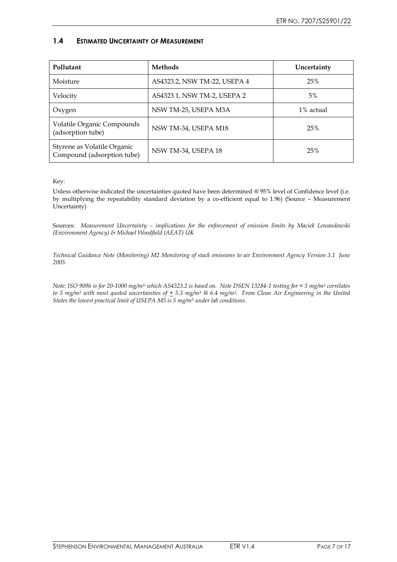#### **1.4 ESTIMATED UNCERTAINTY OF MEASUREMENT**

| Pollutant                                                 | <b>Methods</b>               | Uncertainty |
|-----------------------------------------------------------|------------------------------|-------------|
| Moisture                                                  | AS4323.2, NSW TM-22, USEPA 4 | 25%         |
| Velocity                                                  | AS4323.1, NSW TM-2, USEPA 2  | $5\%$       |
| Oxygen                                                    | NSW TM-25, USEPA M3A         | 1% actual   |
| Volatile Organic Compounds<br>(adsorption tube)           | NSW TM-34, USEPA M18         | 25%         |
| Styrene as Volatile Organic<br>Compound (adsorption tube) | NSW TM-34, USEPA 18          | 25%         |

Key:

Unless otherwise indicated the uncertainties quoted have been determined @ 95% level of Confidence level (i.e. by multiplying the repeatability standard deviation by a co-efficient equal to 1.96) (Source – Measurement Uncertainty)

Sources: *Measurement Uncertainty – implications for the enforcement of emission limits by Maciek Lewandowski (Environment Agency) & Michael Woodfield (AEAT) UK* 

*Technical Guidance Note (Monitoring) M2 Monitoring of stack emissions to air Environment Agency Version 3.1 June 2005.*

*Note: ISO 9096 is for 20-1000 mg/m3- which AS4323.2 is based on. Note DSEN 13284-1 testing for < 5 mg/m<sup>3</sup> correlates to 5 mg/m<sup>3</sup> with most quoted uncertainties of + 5.3 mg/m<sup>3</sup> @ 6.4 mg/m3. From Clean Air Engineering in the United States the lowest practical limit of USEPA M5 is 5 mg/m<sup>3</sup> under lab conditions.*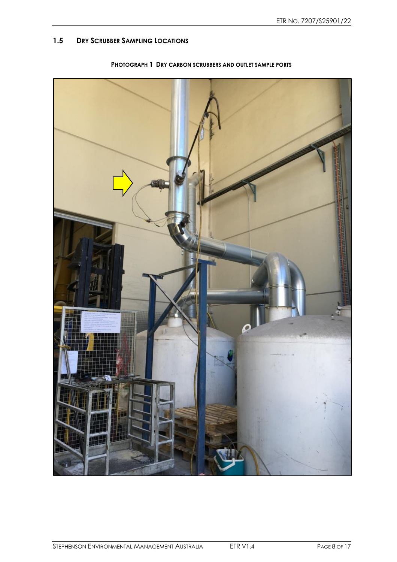## **1.5 DRY SCRUBBER SAMPLING LOCATIONS**



**PHOTOGRAPH 1 DRY CARBON SCRUBBERS AND OUTLET SAMPLE PORTS**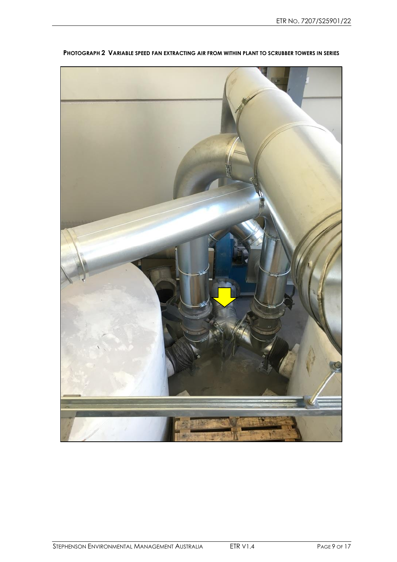

**PHOTOGRAPH 2 VARIABLE SPEED FAN EXTRACTING AIR FROM WITHIN PLANT TO SCRUBBER TOWERS IN SERIES**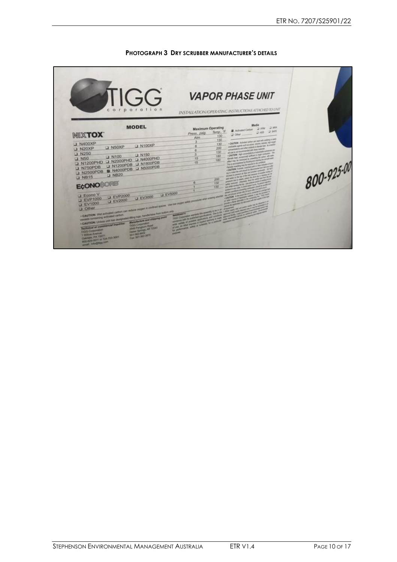

#### **PHOTOGRAPH 3 DRY SCRUBBER MANUFACTURER'S DETAILS**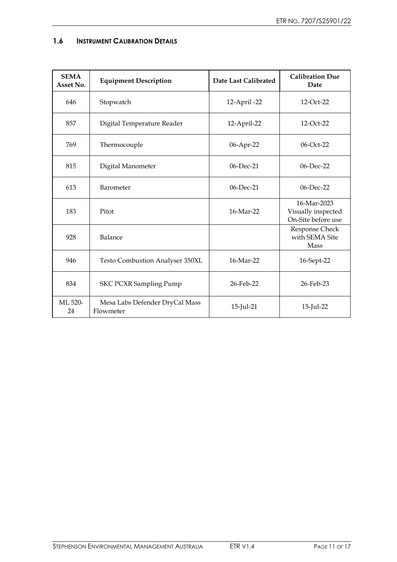| <b>SEMA</b><br>Asset No. | <b>Equipment Description</b>                | Date Last Calibrated | <b>Calibration Due</b><br>Date                          |
|--------------------------|---------------------------------------------|----------------------|---------------------------------------------------------|
| 646                      | Stopwatch                                   | 12-April -22         | 12-Oct-22                                               |
| 857                      | Digital Temperature Reader                  | 12-April-22          | 12-Oct-22                                               |
| 769                      | Thermocouple                                | 06-Apr-22            | 06-Oct-22                                               |
| 815                      | Digital Manometer                           | 06-Dec-21            | 06-Dec-22                                               |
| 613                      | Barometer                                   | 06-Dec-21            | 06-Dec-22                                               |
| 183                      | Pitot                                       | 16-Mar-22            | 16-Mar-2023<br>Visually inspected<br>On-Site before use |
| 928                      | Balance                                     |                      | Response Check<br>with SEMA Site<br>Mass                |
| 946                      | <b>Testo Combustion Analyser 350XL</b>      | 16-Mar-22            | 16-Sept-22                                              |
| 834                      | <b>SKC PCXR Sampling Pump</b>               | 26-Feb-22            | 26-Feb-23                                               |
| ML 520-<br>24            | Mesa Labs Defender DryCal Mass<br>Flowmeter | 15-Jul-21            | 15-Jul-22                                               |

#### **1.6 INSTRUMENT CALIBRATION DETAILS**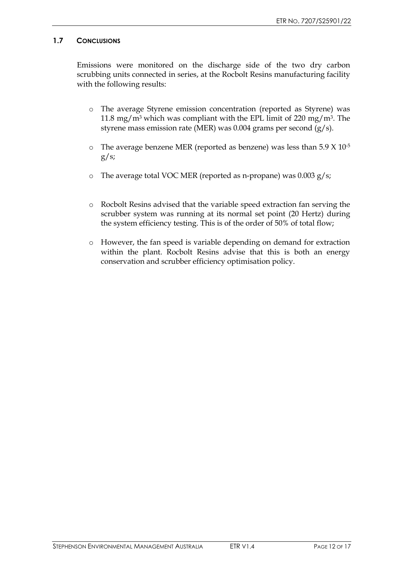#### **1.7 CONCLUSIONS**

Emissions were monitored on the discharge side of the two dry carbon scrubbing units connected in series, at the Rocbolt Resins manufacturing facility with the following results:

- o The average Styrene emission concentration (reported as Styrene) was 11.8 mg/m<sup>3</sup> which was compliant with the EPL limit of 220 mg/m<sup>3</sup>. The styrene mass emission rate (MER) was 0.004 grams per second  $(g/s)$ .
- o The average benzene MER (reported as benzene) was less than 5.9 X 10-5  $g/s$ ;
- o The average total VOC MER (reported as n-propane) was 0.003 g/s;
- o Rocbolt Resins advised that the variable speed extraction fan serving the scrubber system was running at its normal set point (20 Hertz) during the system efficiency testing. This is of the order of 50% of total flow;
- o However, the fan speed is variable depending on demand for extraction within the plant. Rocbolt Resins advise that this is both an energy conservation and scrubber efficiency optimisation policy.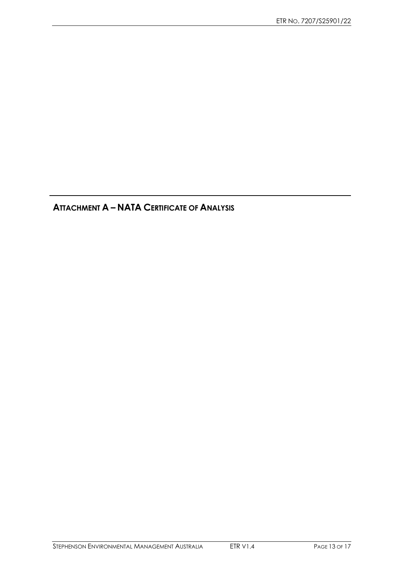**ATTACHMENT A – NATA CERTIFICATE OF ANALYSIS**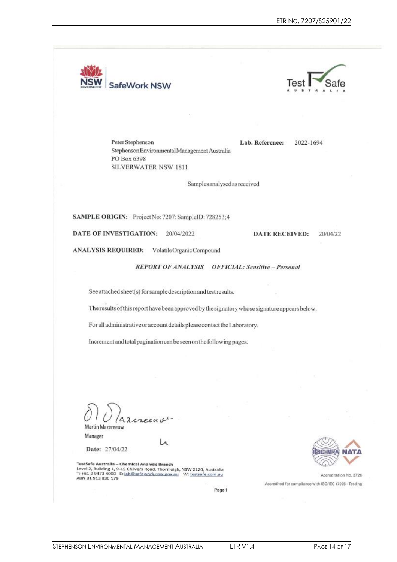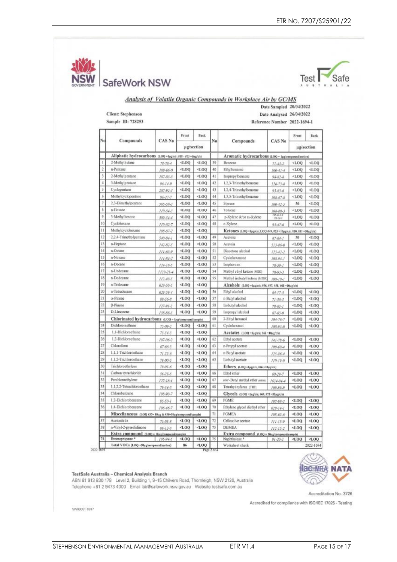Safe  $L - 1$ 

|                |                                                           |                 |            |                 |          | <b>Analysis of Volatile Organic Compounds in Workplace Air by GC/MS</b> |                              |                                  |                     |
|----------------|-----------------------------------------------------------|-----------------|------------|-----------------|----------|-------------------------------------------------------------------------|------------------------------|----------------------------------|---------------------|
|                |                                                           |                 |            |                 |          |                                                                         | Date Sampled 20/04/2022      |                                  |                     |
|                | <b>Client: Stephenson</b>                                 |                 |            |                 |          |                                                                         | Date Analysed 26/04/2022     |                                  |                     |
|                | Sample ID: 728253                                         |                 |            |                 |          |                                                                         | Reference Number 2022-1694-1 |                                  |                     |
|                |                                                           |                 | Front      | Back.           |          |                                                                         |                              | Front                            | Back                |
| No             | Compounds                                                 | <b>CAS No</b>   |            | µg/section      | No       | Compounds                                                               | CAS No                       | µg/section                       |                     |
|                | Aliphatic hydrocarbons (LOQ =lig/e's; #18 - #23 =Sig/e's) |                 |            |                 |          | Aromatic hydrocarbons (LOQ = 1pg/compound/section)                      |                              |                                  |                     |
| 1              | 2-Methylbutane                                            | $78 - 78 - 4$   | $-1.00$    | 4.00            | 39       | Benzene                                                                 | $71 - 43 - 2$                | <1.00                            | $-1.00$             |
| $\overline{2}$ | n-Pentane                                                 | $109 - 66 - 0$  | <1.00      | $-1.00$         | 40       | Ethylbenzene                                                            | $100 - 41 - 6$               | 4.00                             | 4.00                |
| 3              | 2-Methylpentane                                           | $107 - 83 - 5$  | 4.00       | $-1.00$         | 41       | Isopropylbenzene                                                        | $98 - 82 - 8$                | 500                              | 500                 |
| 4              | 3-Methylpentane                                           | $96 - 14 - 0$   | 00.1       | 4.00            | 42       | 1,2,3-Trimethylbenzene                                                  | $526 - 73 - 8$               | $-1.00$                          | $-1.00$             |
| 5              | Cyclopentane                                              | 287-92-3        | $-1.001$   | $-1.00$         | 43       | 1,2,4-Trimethylbenzene                                                  | $95 - 63 - 6$                | <1.00                            | 4.00                |
| 6              | Methylcyclopentane                                        | $96 - 37 - 7$   | 4.00       | $-1.00$         | 44       | 1,3,5-Trimethylbenzene                                                  | 108-67-8                     | <1.00                            | <1.00               |
| 7              | 2,3-Dimethylpentane                                       | 565-59-3        | QQ         | 4.00            | 45       | Styrene                                                                 | 100-42-5                     | 56                               | $-1.00$             |
| ß              | n-Hexane                                                  | 110-54-3        | QO.L       | QQ <sub>k</sub> | 46       | Toluene                                                                 | 108-88-3                     | $-1.00$                          | QCD                 |
| 9.             | 3-Methylbexane                                            | 589-34-4        | $-1.00$    | $-1.00$         | 47       | p-Xylene &/or m-Xylene                                                  | 19542-3:4                    | QQ <sub>1</sub>                  | QOL                 |
| 10             | Cyclohoxane                                               | 110-82-7        | $-1.00$    | 4.00            | 48       | o Xylene                                                                | $95 - 47 - 6$                | OOL                              | 00.1                |
| 11             | Methylcyclohexane                                         | 108-87-2        | QQ1        | 4.00            |          | Ketones (LOQ =1µg/c/s; LOQ 649, #53 =10µg/c/s; #50, 651 =50µg/c/s)      |                              |                                  |                     |
| 12             | 2.2.4-Trimethylpentane                                    | $540 - 84 - 1$  | <1.00      | <1.00           | 49       | Acetone                                                                 | $67 - 64 - 1$                | 30                               | QOL                 |
| 13             | n-Heptane.                                                | $142 - 82 - 5$  | QQ         | <0.00           | 50       | Acetoin                                                                 | $513 - 86 - 0$               | $-4.00$                          | QCD                 |
| 14             | n-Octane                                                  | 111-65-9        | QQ1        | 4.00            | 51       | Discetone alcohol                                                       | $123 - 62 - 2$               | 400                              | $<$ LOQ             |
| 15             | n-Nonano                                                  | 111-84-2        | 400        | $-1.00$         | 52       | Cyclohexanone                                                           | $108 - 94 - 1$               | QQ                               | QQ                  |
| 16             | n-Decane                                                  | $124 - 18 - 5$  | $-1.00$    | $-1.00$         | 53       | <b>Isophorone</b>                                                       | $78 - 59 - 1$                | 4.00                             | QCDL                |
| 17             | n-Undecane                                                | $1120 - 25 - 4$ | QQ         | 4.00            | 54       | Methyl ethyl ketone (MEK)                                               | $78 - 93 - 3$                | 400                              | 4.00                |
| 18             | n-Dodecane                                                | $112 - 40 - 3$  | $-1.00$    | $-1.001$        | 55       | Methyl isobutyl ketone (MIBK)                                           | $108 - 10 - 1$               | $-1.00$                          | $-1.00$             |
| 19             | n-Tridecane                                               | 629-50-5        | <1.00      | $-1.00$         |          | Alcohols (LOQ = lag/c/s; #56, #57, #58, #68 = 10pg/c/s)                 |                              |                                  |                     |
| 20<br>21       | n-Tetradecane                                             | $629 - 59 - 4$  | $QQ_x$     | QQ              | 56       | Ethyl alcohol                                                           | $64 - 17 - 5$                | $-1.00$                          | QOLP                |
| 22             | a-Pinene<br><b>B-Pinene</b>                               | 80-56-8         | $-1.00$    | 4.00            | 57       | n-Butyl alcohol                                                         | $71 - 36 - 3$                | QQ                               | QQ                  |
| 23             | D-Limonene                                                | $127 - 91 - 3$  | 4.00<br>QQ | 4.00<br>00.1    | 58<br>59 | Isobutyl alcohol<br>Isopropyl alcohol                                   | $78 - 83 - 1$                | $-1.00$<br>4.00                  | QQ<br>4.00          |
|                | Chlorinated hydrocarbons (LOQ - Lug/compound/sample)      | 138-86-3        |            |                 | 60       | 2-Ethyl hexanol                                                         | $67 - 63 - 0$                | $-1.00$                          | $-1.00$             |
| 24             | Dichloromethane                                           | $75 - 09 - 2$   | $-1.00$    | $-1.00$         | 61       | Cyclohexannl                                                            | $104 - 76 - 7$<br>108-93-0   | $-1.00$                          | $-1.00$             |
| $^{25}$        | 1.1-Dichloroethane                                        | $75 - 34 - 3$   | 00.1       | $-001$          |          | Acetates (LOQ-lugio's: #62-10pg/cis)                                    |                              |                                  |                     |
| 26             | 1.2-Dichloroethane                                        | 107-06-2        | $-1.00$    | 500             | 62       | Ethyl acetate                                                           | $141 - 78 - 6$               | $-1.00$                          | QQ                  |
| 27             | Chloroform                                                | $67 - 66 - 3$   | QQ         | 4.00            | 63       | n-Propyl acetate                                                        | $109 - 60 - 4$               | $-1.00$                          | $-1.00$             |
| $^{22}$        | 1.1.1-Trichloroethane                                     | $71 - 53 - 6$   | $QQ$ .     | $-1.00$         | 64       | n-Butyl acetate                                                         | $123 - 86 - 4$               | 4.00                             | <1.00               |
| 29             | 1.1.2-Trichloroethane                                     | 79.00-5         | QO.I       | QQ1             | 65       | Isobutyl acetate                                                        | $110 - 19 - 0$               | $-1.0Q$                          | QQ                  |
| 30             | Trichloroethylene                                         | 79-01-6         | 400        | $-1.00$         |          | Ethers (LOQ -tag/ex, N66 -10ag/en)                                      |                              |                                  |                     |
| 31             | Carbon tetrachloride                                      | $56 - 23 - 5$   | QOJ        | QQ              | 66       | Ethyl ether                                                             | $60 - 29 - 7$                | <l00< td=""><td>4.00</td></l00<> | 4.00                |
| 32             | Perchiceoethylene                                         | $127 - 18 - 4$  | QO.J       | QQ <sub>1</sub> | 67       | tert-Butyl methyl ether armn                                            | $1634 - 04 - 4$              | 4.00                             | 400                 |
| 33             | 1.1.2.2-Tetrachloroethane                                 | $79 - 34 - 5$   | QQ         | $-1.00$         | 68       | Tetrahydrofuran (THF)                                                   | 109-99-9                     | QOL                              | QQ                  |
| 34             | Chlorobenzene                                             | 108-90-7        | QOL        | QQ              |          | Glycols (LOQ -1x2/cis, 169, 173-50x2/cis)                               |                              |                                  |                     |
| 35             | 1.2-Dichlorobenzene                                       | $95 - 50 - 1$   | QQ         | 00J             | 69       | PGME                                                                    | 107-98-2                     | $QQ$ .                           | $-1.00$             |
| 36             | 1,4-Dichlorobenzene                                       | $106 - 46 - 7$  | $-1.00$    | <1.00           | 70       | Ethylene glycol diethyl ether                                           | $629 - 14 - 1$               | QQ                               | QOL                 |
|                | Miscellaneous (LOQ #37~10µg & #38-50µg/compound/sample)   |                 |            |                 | 71       | PGMEA                                                                   | $108 - 63 - 6$               | $-1.00$                          | <1.00               |
| 37             | Acetonitrile                                              | $75 - 05 - 8$   | QQ         | QQ              | 72       | Cellosolve acetate                                                      | $111 - 15 - 9$               | <1.00                            | <1.00               |
| 38             | n-Virg4-2-pyrrolidinone                                   | $88 - 12 - 0$   | QQ         | $<$ LOQ         | 73       | DGMEA                                                                   | $112 - 13 - 2$               | <1.00                            | <l00< td=""></l00<> |
|                | Extra compound (LOO = Huatomassatissande)                 |                 |            |                 |          | Extra compound (LOO - Soug'esespound'sample)                            |                              |                                  |                     |
| 74             | Bromopropane *<br>Total VOCs (LOQ =50ag/compaund/section) | 106-94-5        | 400<br>86  | QO.I<br>OO2     | 75       | Naphthalene <sup>®</sup><br>Worksheet check                             | $91 - 20 - 3$                | $QQ \ge$<br>2022-1694            | <1.00               |



#### TestSafe Australia - Chemical Analysis Branch

ABN 81 913 830 179 Level 2, Building 1, 9-15 Chilvers Road, Thornleigh, NSW 2120, Australia<br>Telephone +61 2 9473 4000 Email lab@safework.nsw.gov.au Website testsafe.com.au



Accreditation No. 3726

Accredited for compliance with ISO/IEC 17025 - Testing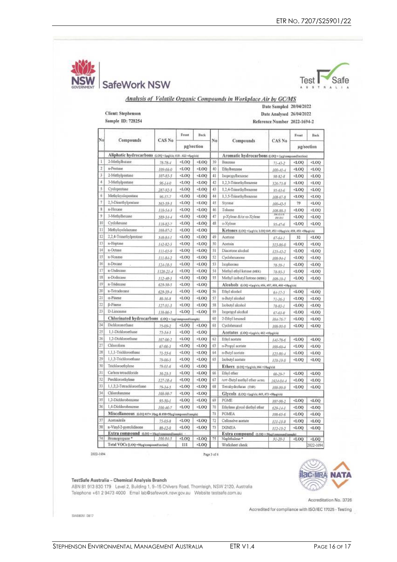Safe

|                |                                                                         |                                   |                                                                                                                                                                                        |                                                                                                                                                            |          | Analysis of Volatile Organic Compounds in Workplace Air by GC/MS  |                                 |                 |                    |
|----------------|-------------------------------------------------------------------------|-----------------------------------|----------------------------------------------------------------------------------------------------------------------------------------------------------------------------------------|------------------------------------------------------------------------------------------------------------------------------------------------------------|----------|-------------------------------------------------------------------|---------------------------------|-----------------|--------------------|
|                |                                                                         |                                   |                                                                                                                                                                                        |                                                                                                                                                            |          |                                                                   | Date Sampled 20/04/2022         |                 |                    |
|                | <b>Client: Stephenson</b>                                               |                                   |                                                                                                                                                                                        |                                                                                                                                                            |          |                                                                   | Date Analysed 26/04/2022        |                 |                    |
|                | Sample ID: 728254                                                       |                                   |                                                                                                                                                                                        |                                                                                                                                                            |          |                                                                   | Reference Number 2022-1694-2    |                 |                    |
|                |                                                                         |                                   |                                                                                                                                                                                        |                                                                                                                                                            |          |                                                                   |                                 |                 |                    |
| No             | Compounds                                                               | <b>CAS No</b>                     | Front                                                                                                                                                                                  | <b>Back</b>                                                                                                                                                | No       | Compounds                                                         | CAS No                          | Frunt           | Back               |
|                |                                                                         |                                   |                                                                                                                                                                                        | ug/section                                                                                                                                                 |          |                                                                   |                                 |                 | ug/section         |
|                | Aliphatic hydrocarbons (LOQ=1µg\di; #18-#23 =5µg\cis)                   |                                   |                                                                                                                                                                                        |                                                                                                                                                            |          | Aromatic hydrocarbons (LOQ = Leg/corporal/section)                |                                 |                 |                    |
| Ŀ              | 2-Methylbutane                                                          | $78 - 78 - 4$                     | $-1.00$                                                                                                                                                                                | $-1.00$                                                                                                                                                    | 39       | Benzene                                                           | 71.43.2                         | 400             | $<$ LOQ            |
| $\overline{2}$ | n-Peutane.                                                              | 109-66-0                          | $-1.00$                                                                                                                                                                                | <1.00                                                                                                                                                      | 40       | Ethylbenzene                                                      |                                 | $-1.00$         | $-1.00$            |
| 3.             | 2-Methylpentane                                                         | $107 - 83 - 5$                    | $-1.00$                                                                                                                                                                                | $-1.00$                                                                                                                                                    | 41       | Isopropylbenzene                                                  | $100 - 41 - 4$<br>$98 - 82 - 8$ | $-1.00$         | $<$ LOO            |
| 4              | 3-Methylpentane                                                         | $96 - 1 + 0$                      | QOL                                                                                                                                                                                    | <1.00                                                                                                                                                      | 42       | 1,2,3-Trimethylbenzene                                            |                                 | $-1.00$         | <1.00              |
| 5.             | Cyclopentase                                                            | 287-92-3                          | $-1.00$                                                                                                                                                                                | $-1.00$                                                                                                                                                    | 43       | 1.2.4-Trimethylbenzene                                            | 526-73-8                        | $-1.00$         | $<$ LOQ            |
| б              | Methylcyclopentane                                                      | $96-37-7$                         | $-1.00$                                                                                                                                                                                | 4.00                                                                                                                                                       | 44       | 1,3,5-Trimethylbenzene                                            | $95 - 63 - 6$                   | 4.00            | <1.00              |
| 7              | 2,3-Dimethylpentane                                                     | 565-59-3                          | <1.00                                                                                                                                                                                  | $-1.00$                                                                                                                                                    | 43       | Styrene                                                           | $108 - 67 - 8$                  | 79              | $<$ LOO            |
| 8              | n-Hexane                                                                | 110.54.3                          | 4.00                                                                                                                                                                                   | <0.00                                                                                                                                                      | 46       | Toluene                                                           | $100 - 42 - 5$                  | 4.00            | <0.00              |
| 9              | 3-Methylhexane                                                          | $589 - 34 - 4$                    | $-1.00$                                                                                                                                                                                | $-1.00$                                                                                                                                                    | 47       | p-Xylene &/or m-Xylene                                            | 108-88-3<br>9592                | $-1.00$         | $-1.00$            |
| 10             | Cyclohexane                                                             | $110-82-7$                        | $-1.00$                                                                                                                                                                                | $-1.00$                                                                                                                                                    | 48       | o-Xylene                                                          | 768-38-3                        | $-1.00$         | $<$ LOQ            |
| 11             | Methylcyclohexane                                                       | 108-87-2                          | $-1.00$                                                                                                                                                                                | $-1.00$                                                                                                                                                    |          | Ketones (LOQ =1ag/cis LOQ 849, 853 =10ag/e/s; 850, 851 =50ag/e/s) | $95 - 47 - 6$                   |                 |                    |
| 12             | 2.2.4-Trimethylpentane                                                  | $540 - 84 - 1$                    | 4.00                                                                                                                                                                                   | <1.00                                                                                                                                                      | 49       | Acetone                                                           |                                 | 32              | <1.00              |
| 13             | n-Heptane                                                               | $142 - 82 - 5$                    | $-1.00$                                                                                                                                                                                | $-1.00$                                                                                                                                                    | 50       | Acetoin                                                           | $67 - 64 - 1$<br>513-86-0       | $-1.00$         | $-1.00$            |
| 14             | n-Octane                                                                | $111 - 65 - 9$                    | <1.00                                                                                                                                                                                  | 500                                                                                                                                                        | 51       | Diacetone alcohol                                                 |                                 | 4.00            | 4.00               |
| 15             | n-Nonane                                                                | $111-84-2$                        | 4.00.                                                                                                                                                                                  | $-001$                                                                                                                                                     | 52       | Cyclohexanone                                                     | $123 - 42 - 7$                  | <1.00           | <1.00              |
| 16             | n-Decane                                                                |                                   | <1.00                                                                                                                                                                                  | $-1.00$                                                                                                                                                    | 53       | Isophorone                                                        | $108 - 94 - 1$                  | <1.00           | <1.00              |
| 17             | n-Undecane                                                              | $124 - 18 - 5$<br>$1120 - 21 - 4$ | <0.00                                                                                                                                                                                  | $-1.00$                                                                                                                                                    | 54       | Methyl ethyl ketone (MEK)                                         | $78 - 59 - 1$                   | <0.00           | $<$ LOO            |
| 18             | n-Dodecane                                                              |                                   | <1.00                                                                                                                                                                                  | $-1.00$                                                                                                                                                    | 55       | Methyl isobutyl ketone (MIBE)                                     | 78.93.3                         | <1.00           | <1.00              |
| 19             | n-Tridecane                                                             | $112 - 10 - 3$<br>629-50-5        | $-1.00$                                                                                                                                                                                | 4.00                                                                                                                                                       |          | Alcohols (LOQ =tµgleis; #56, #57, #58, #60 =10µgleis)             | $108 - 10 - 1$                  |                 |                    |
| 20             | n-Tetradecane                                                           | $629 - 59 - 4$                    | $-1.00$                                                                                                                                                                                | OO.1                                                                                                                                                       | 56       | Ethyl alcohol                                                     |                                 | $-1.00$         | <0.00              |
| 21             | a-Pinene                                                                | $80 - 56 - 8$                     | 4.00                                                                                                                                                                                   | <0.00                                                                                                                                                      | 57       | n-Butyl alcohol                                                   | $64 - 17 - 5$                   | < 0.00          | $<$ LOQ            |
| 22             | <b>ß-Pineue</b>                                                         | 127-91-3                          | 4.00                                                                                                                                                                                   | $-1.00$                                                                                                                                                    | 58       | Isobutyl alcohol                                                  | $71 - 36 - 3$                   | <1.00           | <1.00              |
| $_{23}$        | D-Linconene                                                             | $138 - 86 - 3$                    | $-1.00$                                                                                                                                                                                | <1.00                                                                                                                                                      | 59       | Isopropyl alcohol                                                 | $78 - 83 - 1$                   |                 |                    |
|                | Chlorinated hydrocarbons (LOQ = 1Hg/compont/tample)                     |                                   |                                                                                                                                                                                        |                                                                                                                                                            | 60       | 2-Ethyl hexanol                                                   | $67 - 63 - 0$                   | 4.00            | $<$ LOQ            |
| $^{24}$        | Dichloromethane.                                                        | $75 - 09 - 2$                     | <1.00                                                                                                                                                                                  | < 1.00                                                                                                                                                     | 61       | Cyclobexatol                                                      | 104-76-7                        | <1.00<br>4.00   | $<$ LOQ<br><1.00   |
| 25             | 1.1-Dichloroethane                                                      | $75 - 34 - 3$                     | <000                                                                                                                                                                                   | $-1.00$                                                                                                                                                    |          |                                                                   | 708-93-0                        |                 |                    |
| 26             | 1.2-Dichloroethane                                                      |                                   | $-1.00$                                                                                                                                                                                | OO.                                                                                                                                                        | 62       | Acetates (LOQ=1µg/e/s; #62=10µg/els)<br>Ethyl acetate             |                                 | <1.00           | <1.00              |
| 27             | Chloroform                                                              | 107-06-2                          | <1.00                                                                                                                                                                                  | $-1.00$                                                                                                                                                    | 63       | n-Propyl acetate                                                  | $141 - 78 - 6$                  |                 |                    |
| 28             | 1.1.1-Trichloroethane                                                   | 67-66-3                           | $-1.00$                                                                                                                                                                                | $-00.1$                                                                                                                                                    | 64       | n-Butyl acetate                                                   | $109 - 60 - 4$                  | < 0.00<br><1.00 | 400                |
| 29             | 1,1,2-Trichloroetlune                                                   | $71 - 55 - 6$                     | ≤LOQ                                                                                                                                                                                   | <ro6< td=""><td>65</td><td>Isobutyl acetate</td><td><math>123 - 86 - 4</math></td><td></td><td><math>&lt;</math>LOQ<br/><math>-1.00</math></td></ro6<>     | 65       | Isobutyl acetate                                                  | $123 - 86 - 4$                  |                 | $<$ LOQ<br>$-1.00$ |
| 30             | Trichloroethylene                                                       | 79-00-5                           |                                                                                                                                                                                        |                                                                                                                                                            |          |                                                                   | $110 - 19 - 0$                  | <1.00           |                    |
| 31             | Carbon tetrachlocide                                                    | 79.01-6                           | 001<br>4.00                                                                                                                                                                            | $-1.00$<br>$-1.00$                                                                                                                                         | 66       | Ethers (LOQ =1sglo's: 066 =10sglo's)<br>Ethyl ether               |                                 |                 |                    |
| 32             | Perchloroethylene                                                       | $56 - 23 - 5$                     | 001                                                                                                                                                                                    | $-100$                                                                                                                                                     | 67       | tert-Butyl methyl ether (wint)                                    | $60 - 29 - 7$                   | <00<br><1.00    | $<$ LOQ            |
| 33             | 1,1,2,2-Tetrachloroethane                                               | $127 - 38 - 4$                    | <1.00                                                                                                                                                                                  | $-1.00$                                                                                                                                                    | 68       | Tetrahydrofuran (THF)                                             | $1634 - 04 - 4$                 | <0.00           | QOL<br>400         |
| 34             | Chlorobenzene                                                           | $79 - 34 - 5$<br>108-90-7         | 500                                                                                                                                                                                    | $-1.00$                                                                                                                                                    |          |                                                                   | 109-99-9                        |                 |                    |
| 35             | 1,2-Dichlorobenzene                                                     |                                   | $<$ LOQ                                                                                                                                                                                | OOJ                                                                                                                                                        | 69       | Glycols (LOQ=tagles: 469, #73=50pg(eb)<br>PGME                    |                                 |                 |                    |
| 36             | 1,4-Dichlorobenzene                                                     | $95 - 50 - 1$                     | <1.00                                                                                                                                                                                  | $-1.00$                                                                                                                                                    | 70       |                                                                   | 107-98-2                        | 4.00            | 4.00               |
|                |                                                                         | $106 - 16 - 7$                    |                                                                                                                                                                                        |                                                                                                                                                            | 71       | Ethylene glycol diethyl ether                                     | $629 - 14 - 1$                  | 500             | 400                |
| 37             | Miscellaneous (LOQ AIT=10pg & #38-50pg/compound/sample)<br>Acetonitrile |                                   |                                                                                                                                                                                        |                                                                                                                                                            |          | PGMEA                                                             | $108 - 65 - 6$                  | <1.00           | <1.00              |
| 38             | n-Vinyl-2-pyrrolidinone                                                 | $75 - 05 - 8$                     | <loq< td=""><td><loq< td=""><td>72<br/>73</td><td>Cellosolve acetate<br/><b>DGMEA</b></td><td><math>111 - 15 - 9</math></td><td><math>-100</math></td><td>4.00</td></loq<></td></loq<> | <loq< td=""><td>72<br/>73</td><td>Cellosolve acetate<br/><b>DGMEA</b></td><td><math>111 - 15 - 9</math></td><td><math>-100</math></td><td>4.00</td></loq<> | 72<br>73 | Cellosolve acetate<br><b>DGMEA</b>                                | $111 - 15 - 9$                  | $-100$          | 4.00               |
|                | Extra compound (LOO = 10ag/compound/sample)                             | $88 - 12 - 0$                     | $-1.00$                                                                                                                                                                                | QOL                                                                                                                                                        |          | Extra compound (LOO = Shg/conpound/smple)                         | $112 - 15 - 2$                  | $<$ LOO         | $-1.00$            |
| 74             | Bromopropane*                                                           | 106-94-5                          | QQ                                                                                                                                                                                     | 400                                                                                                                                                        | 75       | Naphthalene*                                                      | 91-20-3                         | $-100$          | 400                |
|                | Tetal VOCs (LOQ=50ugicompoundisection)                                  |                                   | ш                                                                                                                                                                                      | 4.00                                                                                                                                                       |          | Worksheet check                                                   |                                 |                 | 2022-1694          |

2022-1694

Page 3 of 4

TestSafe Australia - Chemical Analysis Branch<br>ABN 81 913 830 179 Level 2, Building 1, 9-15 Chilvers Road, Thornleigh, NSW 2120, Australia Telephone +61 2 9473 4000 Email lab@safework.nsw.gov.au Website testsafe.com.au



Accreditation No. 3726

Accredited for compliance with ISO/IEC 17025 - Testing